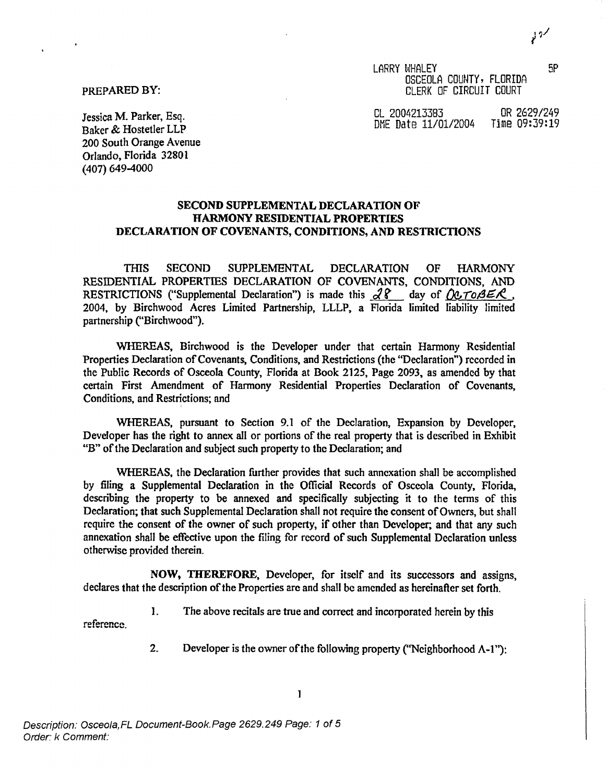LARRY WHALEY 5P OSCEOLA COUNTY, FLORIDA PREPARED BY: CLERK OF CIRCUIT COURT

Jessica M. Parker, Esq. 2004213383 OR 2629/249 DME Date 11/01/2004 Time 09:39:19

Baker & Hostetler LLP 200 South Orange Avenue Orlando, Florida 32801 (407) 649-4000

# **SECOND SUPPLEMENTAL DECLARATION OF HARMONY RESIDENTIAL PROPERTIES DECLARATION OF COVENANTS, CONDITIONS, AND RESTRICTIONS**

THIS SECOND SUPPLEMENTAL DECLARATION OF HARMONY RESIDENTIAL PROPERTIES DECLARATION OF COVENANTS, CONDITIONS, AND RESTRICTIONS ("Supplemental Declaration") is made this  $\sqrt{28}$  day of  $\sqrt{27085}$ . 2004, by Birchwood Acres Limited Partnership, LLLP, a Florida limited liability limited partnership ("Birchwood").

WHEREAS, Birchwood is the Developer under that certain Harmony Residential Properties Declaration of Covenants, Conditions, and Restrictions (the "Declaration") recorded in the Public Records of Osceola County, Florida at Book 2125, Page 2093, as amended by that certain First Amendment of Harmony Residential Properties Declaration of Covenants, Conditions, and Restrictions; and

WHEREAS, pursuant to Section 9.1 of the Declaration, Expansion by Developer, Developer has the right to annex all or portions of the real property that is described in Exhibit "B" of the Declaration and subject such property to the Declaration; and

WHEREAS, the Declaration further provides that such annexation shall be accomplished by filing a Supplemental Declaration in the Official Records of Osceola County, Florida, describing the property to be annexed and specifically subjecting it to the terms of this Declaration; that such Supplemental Declaration shall not require the consent of Owners, but shall require the consent of the owner of such property, if other than Developer; and that any such annexation shall be effective upon the filing for record of such Supplemental Declaration unless otherwise provided therein.

NOW, **THEREFORE,** Developer, for itself and its successors and assigns, declares that the description of the Properties are and shall be amended as hereinafter set forth.

1. The above recitals are true and correct and incorporated herein by this

reference

2. Developer is the owner of the following property ("Neighborhood A-1"):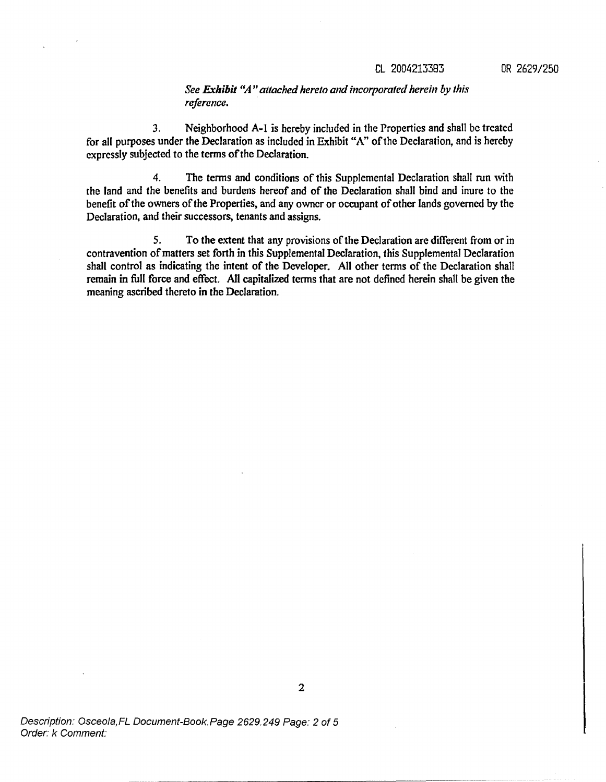3. Neighborhood A-1 is hereby included in the Properties and shall be treated for all purposes under the Declaration as included in Exhibit "A" of the Declaration, and is hereby expressly subjected to the terms of the Declaration.

4. The terms and conditions of this Supplemental Declaration shall run with the land and the benefits and burdens hereof and of the Declaration shall bind and inure to the benefit of the owners of the Properties, and any owner or occupant of other lands governed by the Declaration, and their successors, tenants and assigns.

5. To the extent that any provisions of the Declaration are different from or in contravention of matters set forth in this Supplemental Declaration, this Supplemental Declaration shall control as indicating the intent of the Developer. All other terms of the Declaration shall remain in full force and effect. All capitalized terms that are not defined herein shall be given the meaning ascribed thereto in the Declaration.

Description: Osceola,FL Document-Book.Page 2629.249 Page: 2 of 5 Order: k Comment: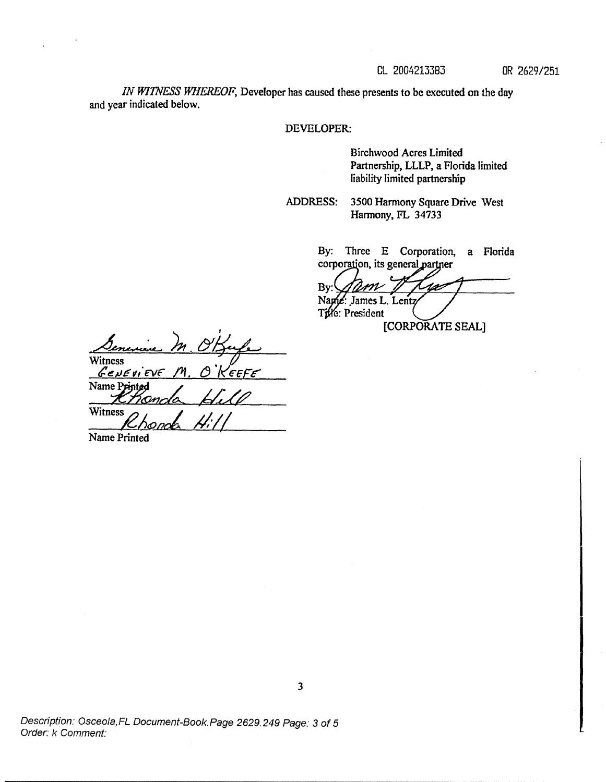*IN WITNESS WHEREOF,* Developer has caused these presents to be executed on the day and year indicated below.

#### **DEVELOPER:**

Birchwood Acres Limited Partnership, LLLP, a Florida limited liability limited partnership

**ADDRESS:** 3500 **Harmony** Square Drive West Harmony, FL 34733

> By: Three E Corporation, a Florida corporation, its general partner

Bv: Name: James L. Lentz Tille: President [CORPORATE SEAL]

<u>)n.</u> Witness Genevi Eve 'EEFE Name Pr Witness *nab*

Name Printed

Description: Osceola, FL Document-Book. Page 2629.249 Page: 3 of 5 Order: k Comment: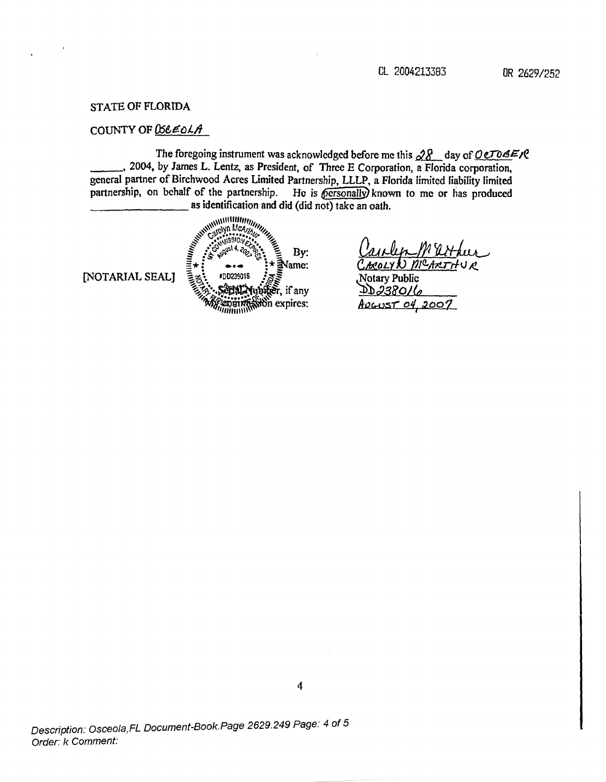### **STATE OF FLORIDA**

# COUNTY OF  $\mathcal{B}\epsilon\epsilon\epsilon$ ol $\mathcal{A}$

The foregoing instrument was acknowledged before me this  $28$  day of OCTOBER \_, 2004, by James L. Lentz, as President, of Three E Corporation, a Florida corporation, general partner of Birchwood Acres Limited Partnership, LLLP, a Florida limited liability limited partnership, on behalf of the partnership. He is personally known to me or has produced as identification and did (did not) take an oath.

[NOTARIAL SEAL]

WWWWWWWWW **ARANTHILIPPINER**  $By:$  $\exists$ Name: #DD239016 Nubicer, if any COUNTRY On expires:

ANOLYN MCARTHUR Notary Public

DD238016 ADGUST 04, 2007

Description: Osceola, FL Document-Book.Page 2629.249 Page: 4 of 5 Order: k Comment: